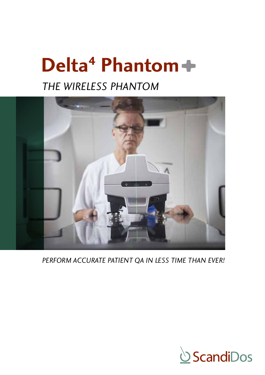# Delta<sup>4</sup> Phantom+

# *THE WIRELESS PHANTOM*



*PERFORM ACCURATE PATIENT QA IN LESS TIME THAN EVER!*

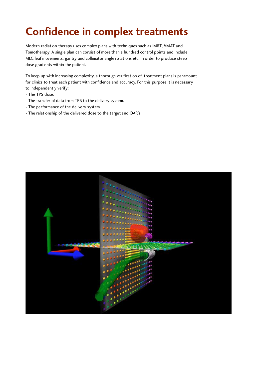# **Confidence in complex treatments**

Modern radiation therapy uses complex plans with techniques such as IMRT, VMAT and<br>Tomotherapy. A single plan can consist of more than a hundred control points and include Tomotherapy. A single plan can consist of more than a hundred control points and include MLC leaf movements, gantry and collimator angle rotations etc. in order to produce steep dose gradients within the patient.

To keep up with increasing complexity, a thorough verification of treatment plans is paramount for clinics to treat each patient with confidence and accuracy. For this purpose it is necessary to independently verify:<br>- The TPS dose.

- $\frac{1}{2}$
- The transfer of data from TPS to the delivery system.
- The performance of the delivery system.
- The relationship of the delivered dose to the target and OAR's.

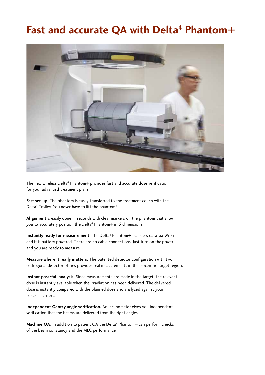### Fast and accurate QA with Delta<sup>4</sup> Phantom+



The new wireless Delta<sup>4</sup> Phantom+ provides fast and accurate dose verification for your advanced treatment plans.

**Fast set-up.** The phantom is easily transferred to the treatment couch with the Delta<sup>4</sup> Trolley. You never have to lift the phantom!

**Alignment** is easily done in seconds with clear markers on the phantom that allow you to accurately position the Delta<sup>4</sup> Phantom+ in 6 dimensions.

**Instantly ready for measurement.** The Delta<sup>4</sup> Phantom+ transfers data via Wi-Fi and it is battery powered. There are no cable connections. Just turn on the power and you are ready to measure.

**Measure where it really matters.** The patented detector configuration with two orthogonal detector planes provides real measurements in the isocentric target region.

**Instant pass/fail analysis.** Since measurements are made in the target, the relevant dose is instantly available when the irradiation has been delivered. The delivered dose is instantly compared with the planned dose and analyzed against your pass/fail criteria.

**Independent Gantry angle verification.** An inclinometer gives you independent verification that the beams are delivered from the right angles.

Machine QA. In addition to patient QA the Delta<sup>4</sup> Phantom+ can perform checks of the beam constancy and the MLC performance.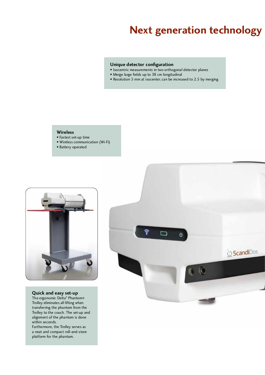### **Next generation technology**

- **Unique detector configuration**<br>• Isocentric measurements in two orthogonal detector planes
- Merge large fields up to 38 cm longitudinal • Merge large fields up to 38 cm longitudinal
- Resolution 5 mm at isocenter, can be increased to 2.5 by merging

- Wireless<br>• Fastest set-up time • Fastest set-up time
- Wireless communication (Wi-Fi)
- Battery operated



**Quick and easy set-up** The ergonomic Delta4 Phantom+ Trolley eliminates all lifting when<br>transferring the phantom from the Trolley to the couch. The set-up and Trolley to the couch. The set-up and alignment of the phantom is done within seconds.<br>Furthermore, the Trolley serves as

a neat and compact roll-and-store a neat and compact roll-and-store platform for the phantom.

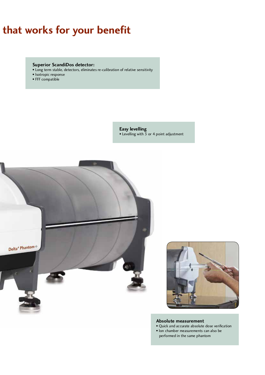## that works for your benefit

- **Superior ScandiDos detector:** • Long term stable, detectors, eliminates re-calibration of relative sensitivity
- Isotropic response
- FFF compatible

**Easy levelling** • Levelling with 3 or 4 point adjustment





- **Absolute measurement**<br>• Quick and accurate absolute dose verification
- Ion chamber measurements can also be • Ion chamber measurements can also be performed in the same phantom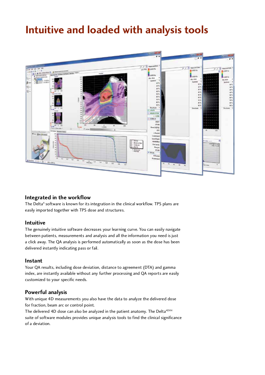### **Intuitive and loaded with analysis tools**



**Integrated in the workflow**  The Delta4 software is known for its integration in the clinical workflow. TPS plans are easily imported together with TPS dose and structures.

**Intuitive** The genuinely intuitive software decreases your learning curve. You can easily navigate between patients, measurements and analysis and all the information you need is just a click away. The QA analysis is performed automatically as soon as the dose has been delivered instantly indicating pass or fail.

**Instant**<br>Your QA results, including dose deviation, distance to agreement (DTA) and gamma Your QA results, including dose deviation, distance to agreement (DTA) and gamma index, are instantly available without any further processing and QA reports are easily customized to your specific needs.

### **Powerful analysis**<br>With unique 4D measure

With unique 4D measurements you also have the data to analyze the delivered dose for fraction, beam arc or control point.

The delivered 4D dose can also be analyzed in the patient anatomy. The Delta4DVH suite of software modules provides unique analysis tools to find the clinical significance of a deviation.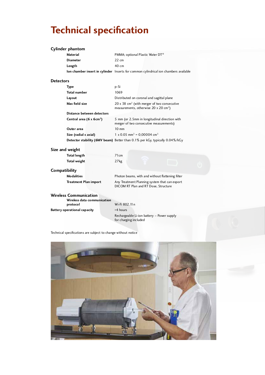## **Technical specification**

### **Cylinder phantom**

|                  | <b>Material</b>                      | PMMA; optional Plastic Water DT®                                                                                        |  |
|------------------|--------------------------------------|-------------------------------------------------------------------------------------------------------------------------|--|
|                  | <b>Diameter</b>                      | $22 \text{ cm}$                                                                                                         |  |
|                  | Length                               | $40 \text{ cm}$                                                                                                         |  |
|                  |                                      | <b>Ion chamber insert in cylinder</b> Inserts for common cylindrical ion chambers available                             |  |
| <b>Detectors</b> |                                      |                                                                                                                         |  |
|                  | Type                                 | p-Si                                                                                                                    |  |
|                  | <b>Total number</b>                  | 1069                                                                                                                    |  |
|                  | Layout                               | Distributed on coronal and sagittal plane                                                                               |  |
|                  | Max field size                       | $20 \times 38$ cm <sup>2</sup> (with merger of two consecutive<br>measurements, otherwise $20 \times 20 \text{ cm}^2$ ) |  |
|                  | Distance between detectors           |                                                                                                                         |  |
|                  | Central area (6 x 6cm <sup>2</sup> ) | 5 mm (or 2.5 mm in longitudinal direction with<br>merger of two consecutive measurements)                               |  |
|                  | Outer area                           | $10 \text{ mm}$                                                                                                         |  |
|                  | Size (radial x axial)                | $1 \times 0.05$ mm <sup>3</sup> = 0,00004 cm <sup>3</sup>                                                               |  |
|                  |                                      | <b>Detector stability (6MV beam)</b> Better than 0.1% per kGy, typically 0.04%/kGy                                      |  |
|                  | Size and weight                      |                                                                                                                         |  |
|                  | <b>Total length</b>                  | 71cm                                                                                                                    |  |
|                  | <b>Total weight</b>                  | 27kg                                                                                                                    |  |

### **Compatibility**

| <b>Modalities</b>            |  |
|------------------------------|--|
| <b>Treatment Plan import</b> |  |

Photon beams, with and without flattening filter **Treatment Plan import** Any Treatment Plan imported that can export DICOM RT Plan and RT Dose, Structure

### **Wireless Communication**

| Wireless data communication  |                |
|------------------------------|----------------|
| protocol                     | Wi-Fi 802.11 n |
| Battery operational capacity | >4 hours       |
|                              | Rechargeable L |

rgeable Li-ion battery – Power supply for charging included

Technical specifications are subject to change without notice